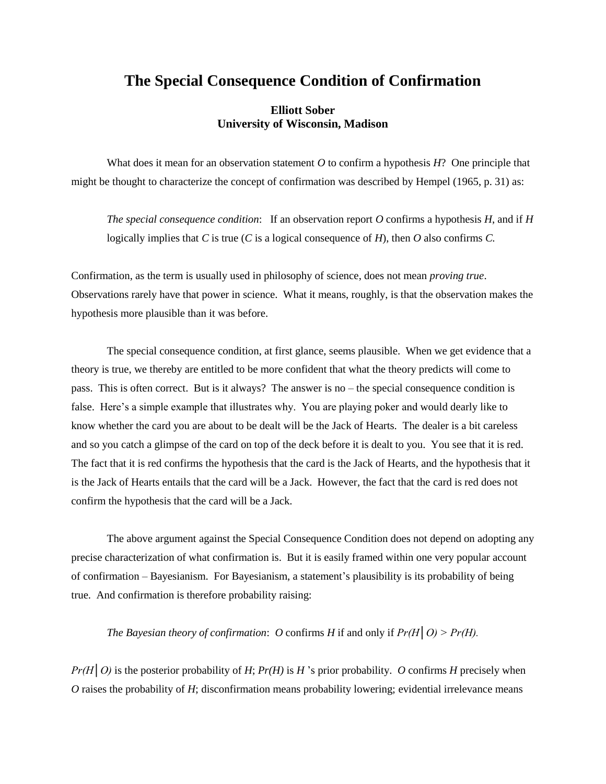## **The Special Consequence Condition of Confirmation**

## **Elliott Sober University of Wisconsin, Madison**

What does it mean for an observation statement *O* to confirm a hypothesis *H*? One principle that might be thought to characterize the concept of confirmation was described by Hempel (1965, p. 31) as:

*The special consequence condition*: If an observation report *O* confirms a hypothesis *H*, and if *H* logically implies that *C* is true (*C* is a logical consequence of *H*), then *O* also confirms *C.* 

Confirmation, as the term is usually used in philosophy of science, does not mean *proving true*. Observations rarely have that power in science. What it means, roughly, is that the observation makes the hypothesis more plausible than it was before.

The special consequence condition, at first glance, seems plausible. When we get evidence that a theory is true, we thereby are entitled to be more confident that what the theory predicts will come to pass. This is often correct. But is it always? The answer is no – the special consequence condition is false. Here's a simple example that illustrates why. You are playing poker and would dearly like to know whether the card you are about to be dealt will be the Jack of Hearts. The dealer is a bit careless and so you catch a glimpse of the card on top of the deck before it is dealt to you. You see that it is red. The fact that it is red confirms the hypothesis that the card is the Jack of Hearts, and the hypothesis that it is the Jack of Hearts entails that the card will be a Jack. However, the fact that the card is red does not confirm the hypothesis that the card will be a Jack.

The above argument against the Special Consequence Condition does not depend on adopting any precise characterization of what confirmation is. But it is easily framed within one very popular account of confirmation – Bayesianism. For Bayesianism, a statement's plausibility is its probability of being true. And confirmation is therefore probability raising:

*The Bayesian theory of confirmation: O* confirms *H* if and only if  $Pr(H|O)$  >  $Pr(H)$ .

*Pr(H|O)* is the posterior probability of *H*; *Pr(H)* is *H* 's prior probability. *O* confirms *H* precisely when *O* raises the probability of *H*; disconfirmation means probability lowering; evidential irrelevance means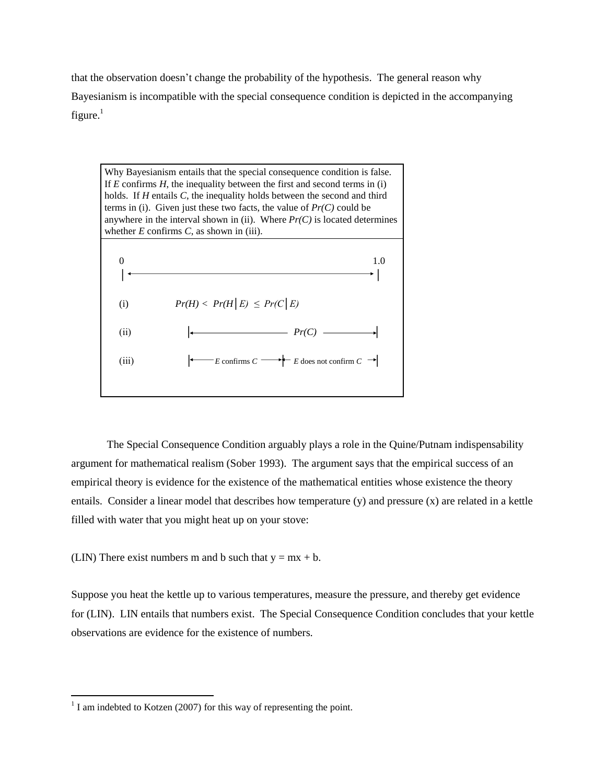that the observation doesn't change the probability of the hypothesis. The general reason why Bayesianism is incompatible with the special consequence condition is depicted in the accompanying figure.<sup>1</sup>



The Special Consequence Condition arguably plays a role in the Quine/Putnam indispensability argument for mathematical realism (Sober 1993). The argument says that the empirical success of an empirical theory is evidence for the existence of the mathematical entities whose existence the theory entails. Consider a linear model that describes how temperature (y) and pressure (x) are related in a kettle filled with water that you might heat up on your stove:

(LIN) There exist numbers m and b such that  $y = mx + b$ .

Suppose you heat the kettle up to various temperatures, measure the pressure, and thereby get evidence for (LIN). LIN entails that numbers exist. The Special Consequence Condition concludes that your kettle observations are evidence for the existence of numbers.

 $\overline{a}$ 

 $1$  I am indebted to Kotzen (2007) for this way of representing the point.